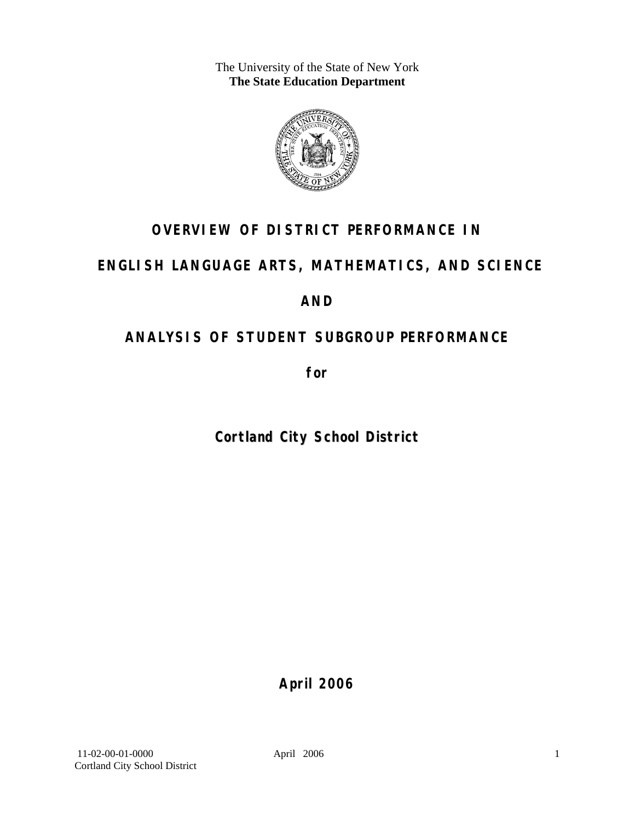The University of the State of New York **The State Education Department** 



## **OVERVIEW OF DISTRICT PERFORMANCE IN**

## **ENGLISH LANGUAGE ARTS, MATHEMATICS, AND SCIENCE**

## **AND**

## **ANALYSIS OF STUDENT SUBGROUP PERFORMANCE**

**for** 

**Cortland City School District**

**April 2006**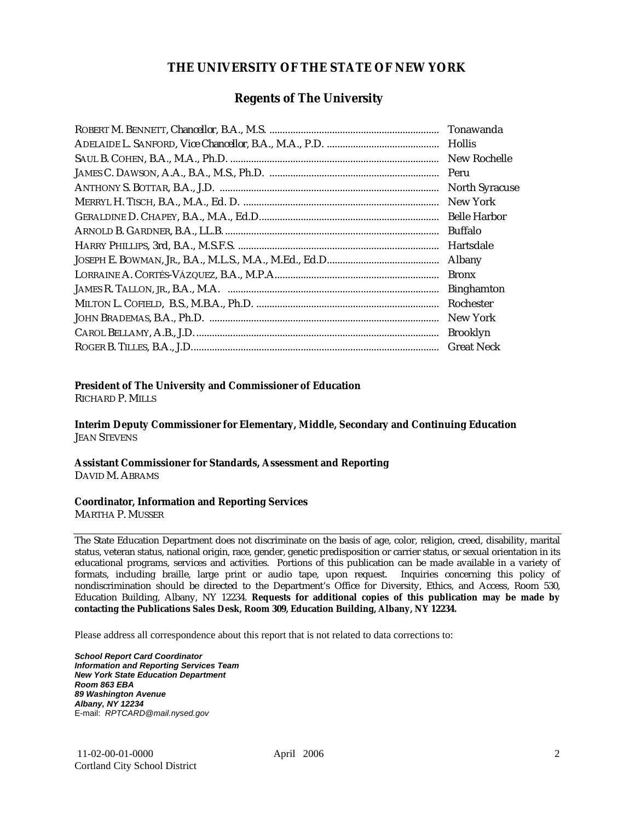### **THE UNIVERSITY OF THE STATE OF NEW YORK**

#### **Regents of The University**

| Hollis                |
|-----------------------|
| New Rochelle          |
|                       |
| <b>North Syracuse</b> |
| New York              |
|                       |
| Buffalo               |
| Hartsdale             |
| Albany                |
| <b>Bronx</b>          |
| <b>Binghamton</b>     |
| Rochester             |
| New York              |
| <b>Brooklyn</b>       |
| <b>Great Neck</b>     |

#### **President of The University and Commissioner of Education**

RICHARD P. MILLS

**Interim Deputy Commissioner for Elementary, Middle, Secondary and Continuing Education**  JEAN STEVENS

#### **Assistant Commissioner for Standards, Assessment and Reporting**  DAVID M. ABRAMS

#### **Coordinator, Information and Reporting Services**

MARTHA P. MUSSER

The State Education Department does not discriminate on the basis of age, color, religion, creed, disability, marital status, veteran status, national origin, race, gender, genetic predisposition or carrier status, or sexual orientation in its educational programs, services and activities. Portions of this publication can be made available in a variety of formats, including braille, large print or audio tape, upon request. Inquiries concerning this policy of nondiscrimination should be directed to the Department's Office for Diversity, Ethics, and Access, Room 530, Education Building, Albany, NY 12234. **Requests for additional copies of this publication may be made by contacting the Publications Sales Desk, Room 309, Education Building, Albany, NY 12234.** 

Please address all correspondence about this report that is not related to data corrections to:

*School Report Card Coordinator Information and Reporting Services Team New York State Education Department Room 863 EBA 89 Washington Avenue Albany, NY 12234*  E-mail: *RPTCARD@mail.nysed.gov*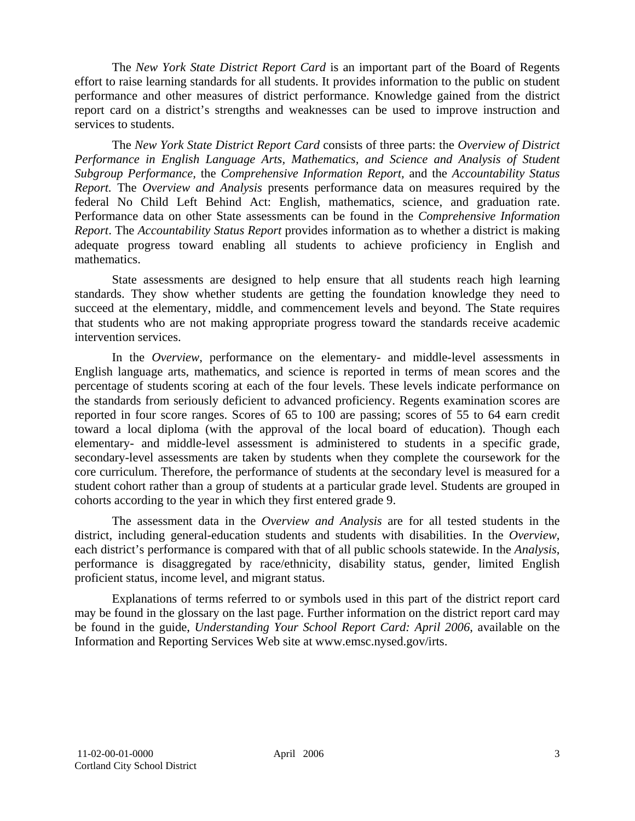The *New York State District Report Card* is an important part of the Board of Regents effort to raise learning standards for all students. It provides information to the public on student performance and other measures of district performance. Knowledge gained from the district report card on a district's strengths and weaknesses can be used to improve instruction and services to students.

The *New York State District Report Card* consists of three parts: the *Overview of District Performance in English Language Arts, Mathematics, and Science and Analysis of Student Subgroup Performance,* the *Comprehensive Information Report,* and the *Accountability Status Report.* The *Overview and Analysis* presents performance data on measures required by the federal No Child Left Behind Act: English, mathematics, science, and graduation rate. Performance data on other State assessments can be found in the *Comprehensive Information Report*. The *Accountability Status Report* provides information as to whether a district is making adequate progress toward enabling all students to achieve proficiency in English and mathematics.

State assessments are designed to help ensure that all students reach high learning standards. They show whether students are getting the foundation knowledge they need to succeed at the elementary, middle, and commencement levels and beyond. The State requires that students who are not making appropriate progress toward the standards receive academic intervention services.

In the *Overview*, performance on the elementary- and middle-level assessments in English language arts, mathematics, and science is reported in terms of mean scores and the percentage of students scoring at each of the four levels. These levels indicate performance on the standards from seriously deficient to advanced proficiency. Regents examination scores are reported in four score ranges. Scores of 65 to 100 are passing; scores of 55 to 64 earn credit toward a local diploma (with the approval of the local board of education). Though each elementary- and middle-level assessment is administered to students in a specific grade, secondary-level assessments are taken by students when they complete the coursework for the core curriculum. Therefore, the performance of students at the secondary level is measured for a student cohort rather than a group of students at a particular grade level. Students are grouped in cohorts according to the year in which they first entered grade 9.

The assessment data in the *Overview and Analysis* are for all tested students in the district, including general-education students and students with disabilities. In the *Overview*, each district's performance is compared with that of all public schools statewide. In the *Analysis*, performance is disaggregated by race/ethnicity, disability status, gender, limited English proficient status, income level, and migrant status.

Explanations of terms referred to or symbols used in this part of the district report card may be found in the glossary on the last page. Further information on the district report card may be found in the guide, *Understanding Your School Report Card: April 2006*, available on the Information and Reporting Services Web site at www.emsc.nysed.gov/irts.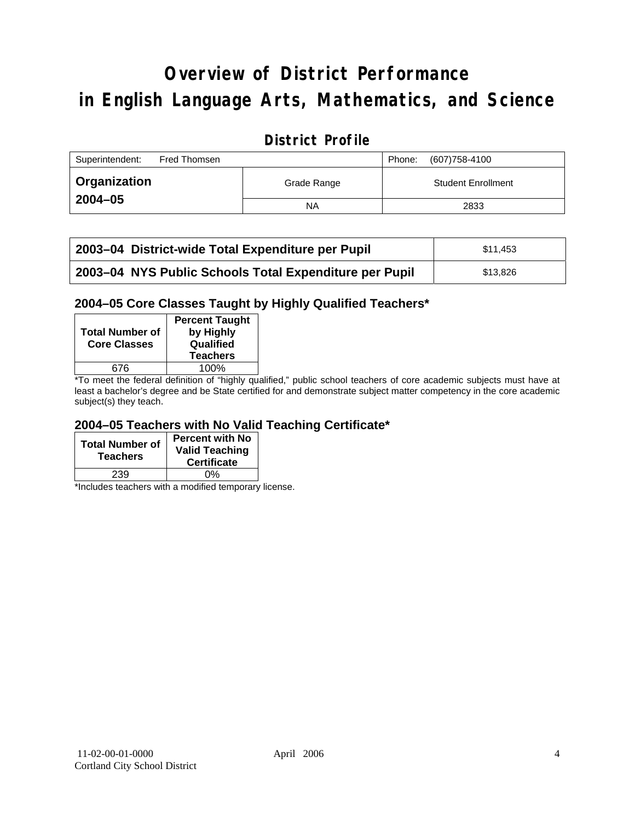# **Overview of District Performance in English Language Arts, Mathematics, and Science**

## **District Profile**

| Superintendent:<br>Fred Thomsen |             | (607) 758-4100<br>Phone:  |
|---------------------------------|-------------|---------------------------|
| Organization                    | Grade Range | <b>Student Enrollment</b> |
| $2004 - 05$                     | NA          | 2833                      |

| 2003-04 District-wide Total Expenditure per Pupil      | \$11.453 |
|--------------------------------------------------------|----------|
| 2003-04 NYS Public Schools Total Expenditure per Pupil | \$13.826 |

### **2004–05 Core Classes Taught by Highly Qualified Teachers\***

| <b>Total Number of</b><br><b>Core Classes</b> | <b>Percent Taught</b><br>by Highly<br>Qualified<br><b>Teachers</b> |
|-----------------------------------------------|--------------------------------------------------------------------|
| 676                                           | 100%                                                               |
| $\cdot$ $\cdot$ $\cdot$                       | .                                                                  |

\*To meet the federal definition of "highly qualified," public school teachers of core academic subjects must have at least a bachelor's degree and be State certified for and demonstrate subject matter competency in the core academic subject(s) they teach.

### **2004–05 Teachers with No Valid Teaching Certificate\***

| <b>Total Number of</b><br><b>Teachers</b> | Percent with No<br><b>Valid Teaching</b><br><b>Certificate</b> |
|-------------------------------------------|----------------------------------------------------------------|
| 239                                       | ሰ%                                                             |

\*Includes teachers with a modified temporary license.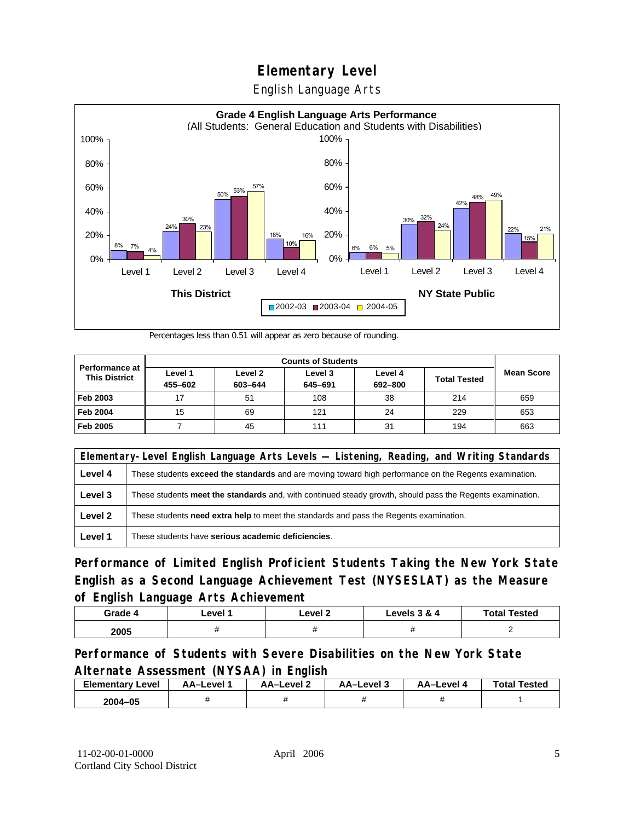English Language Arts



Percentages less than 0.51 will appear as zero because of rounding.

|                                               | <b>Counts of Students</b> |                    |                    |                    |                     |                   |
|-----------------------------------------------|---------------------------|--------------------|--------------------|--------------------|---------------------|-------------------|
| <b>Performance at</b><br><b>This District</b> | Level 1<br>455-602        | Level 2<br>603-644 | Level 3<br>645-691 | Level 4<br>692-800 | <b>Total Tested</b> | <b>Mean Score</b> |
| Feb 2003                                      | 17                        | 51                 | 108                | 38                 | 214                 | 659               |
| <b>Feb 2004</b>                               | 15                        | 69                 | 121                | 24                 | 229                 | 653               |
| Feb 2005                                      |                           | 45                 | 111                | 31                 | 194                 | 663               |

|         | Elementary-Level English Language Arts Levels — Listening, Reading, and Writing Standards                     |  |  |  |  |
|---------|---------------------------------------------------------------------------------------------------------------|--|--|--|--|
| Level 4 | These students <b>exceed the standards</b> and are moving toward high performance on the Regents examination. |  |  |  |  |
| Level 3 | These students meet the standards and, with continued steady growth, should pass the Regents examination.     |  |  |  |  |
| Level 2 | These students need extra help to meet the standards and pass the Regents examination.                        |  |  |  |  |
| Level 1 | These students have serious academic deficiencies.                                                            |  |  |  |  |

**Performance of Limited English Proficient Students Taking the New York State English as a Second Language Achievement Test (NYSESLAT) as the Measure of English Language Arts Achievement**

| Grade 4 | ∟evel ′ | Level 2 | Levels 3 & 4 | <b>Total Tested</b> |
|---------|---------|---------|--------------|---------------------|
| 2005    |         |         |              |                     |

**Performance of Students with Severe Disabilities on the New York State Alternate Assessment (NYSAA) in English** 

| <b>Elementary</b><br>∵Level | AA-Level | AA-Level 2 | AA-Level 3 | AA-Level | <b>Total Tested</b> |
|-----------------------------|----------|------------|------------|----------|---------------------|
| 2004-05                     |          |            |            |          |                     |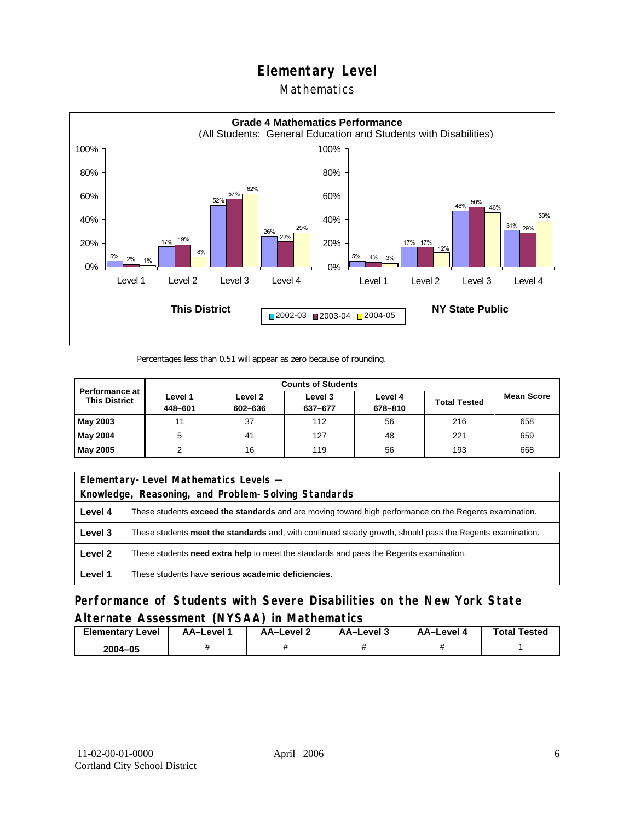### Mathematics



Percentages less than 0.51 will appear as zero because of rounding.

| <b>Counts of Students</b>                     |                    |                    |                    |                    |                     |                   |
|-----------------------------------------------|--------------------|--------------------|--------------------|--------------------|---------------------|-------------------|
| <b>Performance at</b><br><b>This District</b> | Level 1<br>448-601 | Level 2<br>602-636 | Level 3<br>637-677 | Level 4<br>678-810 | <b>Total Tested</b> | <b>Mean Score</b> |
| May 2003                                      | 11                 | 37                 | 112                | 56                 | 216                 | 658               |
| May 2004                                      |                    | 41                 | 127                | 48                 | 221                 | 659               |
| May 2005                                      |                    | 16                 | 119                | 56                 | 193                 | 668               |

| Elementary-Level Mathematics Levels - |                                                                                                           |  |  |  |  |
|---------------------------------------|-----------------------------------------------------------------------------------------------------------|--|--|--|--|
|                                       | Knowledge, Reasoning, and Problem-Solving Standards                                                       |  |  |  |  |
| Level 4                               | These students exceed the standards and are moving toward high performance on the Regents examination.    |  |  |  |  |
| Level 3                               | These students meet the standards and, with continued steady growth, should pass the Regents examination. |  |  |  |  |
| Level 2                               | These students <b>need extra help</b> to meet the standards and pass the Regents examination.             |  |  |  |  |
| Level 1                               | These students have serious academic deficiencies.                                                        |  |  |  |  |

**Performance of Students with Severe Disabilities on the New York State Alternate Assessment (NYSAA) in Mathematics** 

| Elementary<br>Level | AA-Level | <b>AA-Level 2</b> | AA-Level 3 | AA-Level 4 | <b>Total Tested</b> |
|---------------------|----------|-------------------|------------|------------|---------------------|
| 2004-05             |          |                   |            |            |                     |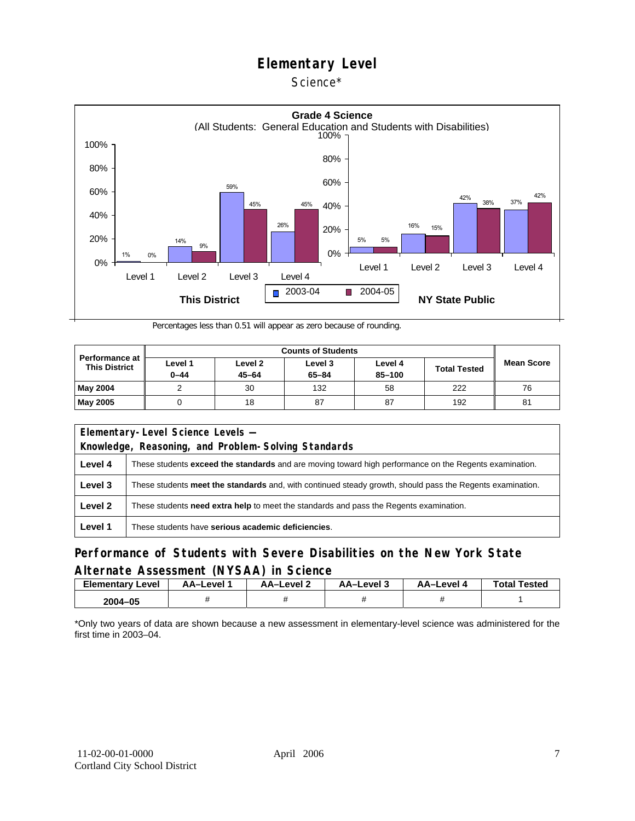#### Science\*



Percentages less than 0.51 will appear as zero because of rounding.

| <b>Performance at</b><br><b>This District</b> | Level 1<br>$0 - 44$ | Level 2<br>$45 - 64$ | Level 3<br>$65 - 84$ | Level 4<br>85-100 | <b>Total Tested</b> | <b>Mean Score</b> |
|-----------------------------------------------|---------------------|----------------------|----------------------|-------------------|---------------------|-------------------|
| <b>May 2004</b>                               |                     | 30                   | 132                  | 58                | 222                 | 76                |
| <b>May 2005</b>                               |                     | 18                   | 87                   | 87                | 192                 | 81                |

| Elementary-Level Science Levels -                   |                                                                                                               |  |  |  |  |
|-----------------------------------------------------|---------------------------------------------------------------------------------------------------------------|--|--|--|--|
| Knowledge, Reasoning, and Problem-Solving Standards |                                                                                                               |  |  |  |  |
| Level 4                                             | These students <b>exceed the standards</b> and are moving toward high performance on the Regents examination. |  |  |  |  |
| Level 3                                             | These students meet the standards and, with continued steady growth, should pass the Regents examination.     |  |  |  |  |
| Level 2                                             | These students <b>need extra help</b> to meet the standards and pass the Regents examination.                 |  |  |  |  |
| Level 1                                             | These students have serious academic deficiencies.                                                            |  |  |  |  |

### **Performance of Students with Severe Disabilities on the New York State Alternate Assessment (NYSAA) in Science**

| Elementary<br>Level | AA-Level " | AA-Level 2 | AA-Level 3 | AA-Level 4 | <b>Total Tested</b> |
|---------------------|------------|------------|------------|------------|---------------------|
| 2004-05             |            |            |            |            |                     |

\*Only two years of data are shown because a new assessment in elementary-level science was administered for the first time in 2003–04.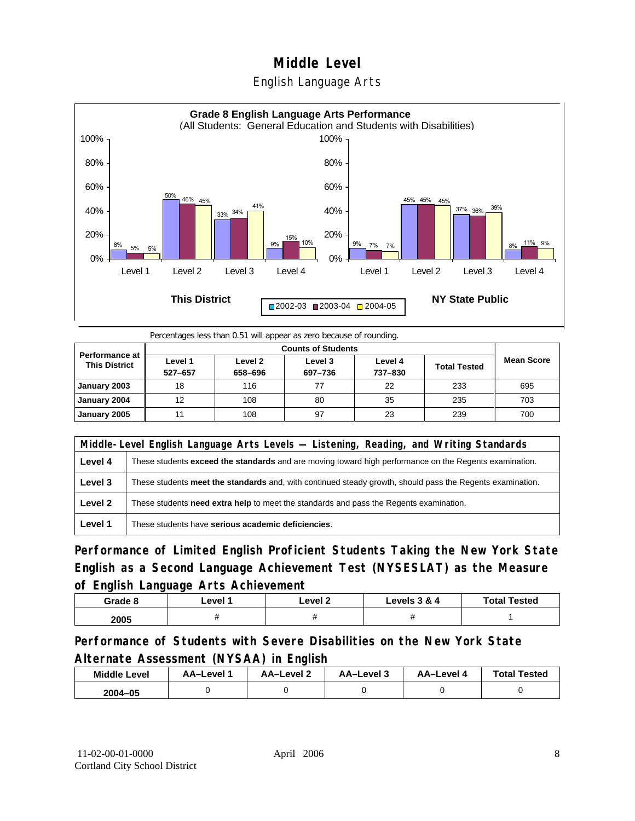## **Middle Level**  English Language Arts



Percentages less than 0.51 will appear as zero because of rounding.

| <b>Performance at</b><br><b>This District</b> | Level 1<br>527-657 | Level 2<br>658-696 | Level 3<br>697-736 | Level 4<br>737-830 | <b>Total Tested</b> | <b>Mean Score</b> |
|-----------------------------------------------|--------------------|--------------------|--------------------|--------------------|---------------------|-------------------|
| January 2003                                  | 18                 | 116                |                    | 22                 | 233                 | 695               |
| January 2004                                  | 12                 | 108                | 80                 | 35                 | 235                 | 703               |
| January 2005                                  | 11                 | 108                | 97                 | 23                 | 239                 | 700               |

|         | Middle-Level English Language Arts Levels — Listening, Reading, and Writing Standards                     |  |  |  |  |
|---------|-----------------------------------------------------------------------------------------------------------|--|--|--|--|
| Level 4 | These students exceed the standards and are moving toward high performance on the Regents examination.    |  |  |  |  |
| Level 3 | These students meet the standards and, with continued steady growth, should pass the Regents examination. |  |  |  |  |
| Level 2 | These students need extra help to meet the standards and pass the Regents examination.                    |  |  |  |  |
| Level 1 | These students have serious academic deficiencies.                                                        |  |  |  |  |

**Performance of Limited English Proficient Students Taking the New York State English as a Second Language Achievement Test (NYSESLAT) as the Measure of English Language Arts Achievement**

| Grade 8 | ∟evel 1 | Level 2 | Levels 3 & 4 | <b>Total Tested</b> |
|---------|---------|---------|--------------|---------------------|
| 2005    |         |         |              |                     |

**Performance of Students with Severe Disabilities on the New York State Alternate Assessment (NYSAA) in English** 

| <b>Middle Level</b> | AA–Level | <b>AA-Level 2</b> | AA-Level 3 | AA-Level 4 | <b>Total Tested</b> |
|---------------------|----------|-------------------|------------|------------|---------------------|
| 2004-05             |          |                   |            |            |                     |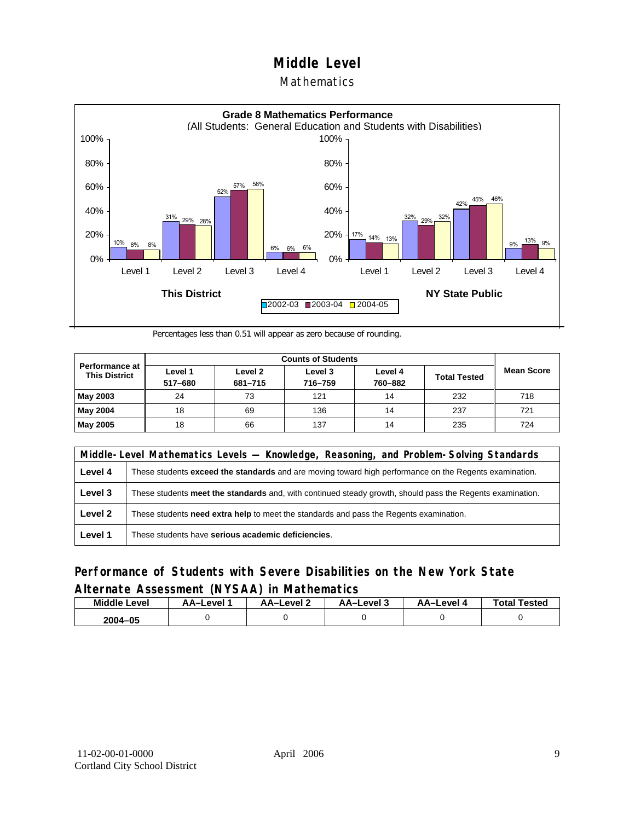#### **Mathematics**



Percentages less than 0.51 will appear as zero because of rounding.

|                                               |                    | <b>Counts of Students</b> |                    |                    |                     |                   |  |  |  |
|-----------------------------------------------|--------------------|---------------------------|--------------------|--------------------|---------------------|-------------------|--|--|--|
| <b>Performance at</b><br><b>This District</b> | Level 1<br>517-680 | Level 2<br>681-715        | Level 3<br>716-759 | Level 4<br>760-882 | <b>Total Tested</b> | <b>Mean Score</b> |  |  |  |
| May 2003                                      | 24                 | 73                        | 121                | 14                 | 232                 | 718               |  |  |  |
| May 2004                                      | 18                 | 69                        | 136                | 14                 | 237                 | 721               |  |  |  |
| May 2005                                      | 18                 | 66                        | 137                | 14                 | 235                 | 724               |  |  |  |

|         | Middle-Level Mathematics Levels — Knowledge, Reasoning, and Problem-Solving Standards                     |  |  |  |  |
|---------|-----------------------------------------------------------------------------------------------------------|--|--|--|--|
| Level 4 | These students exceed the standards and are moving toward high performance on the Regents examination.    |  |  |  |  |
| Level 3 | These students meet the standards and, with continued steady growth, should pass the Regents examination. |  |  |  |  |
| Level 2 | These students need extra help to meet the standards and pass the Regents examination.                    |  |  |  |  |
| Level 1 | These students have serious academic deficiencies.                                                        |  |  |  |  |

### **Performance of Students with Severe Disabilities on the New York State Alternate Assessment (NYSAA) in Mathematics**

| <b>Middle Level</b> | AA-Level | <b>AA-Level 2</b> | AA–Level 3 | AA–Level 4 | <b>Total Tested</b> |
|---------------------|----------|-------------------|------------|------------|---------------------|
| 2004-05             |          |                   |            |            |                     |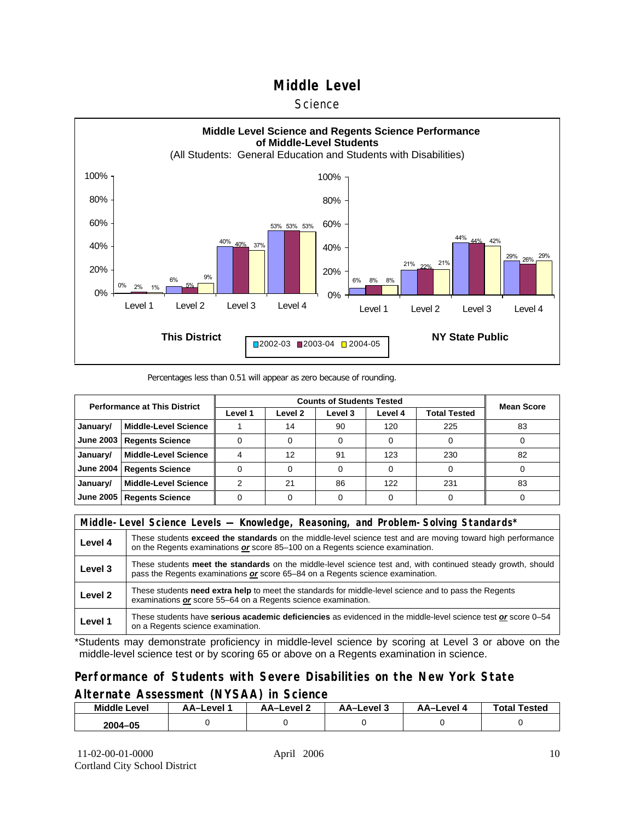#### **Science**



#### Percentages less than 0.51 will appear as zero because of rounding.

| <b>Performance at This District</b> |                             |         | <b>Mean Score</b> |         |         |                     |    |
|-------------------------------------|-----------------------------|---------|-------------------|---------|---------|---------------------|----|
|                                     |                             | Level 1 | Level 2           | Level 3 | Level 4 | <b>Total Tested</b> |    |
| January/                            | <b>Middle-Level Science</b> |         | 14                | 90      | 120     | 225                 | 83 |
| June 2003                           | <b>Regents Science</b>      |         |                   |         |         |                     |    |
| January/                            | <b>Middle-Level Science</b> |         | 12                | 91      | 123     | 230                 | 82 |
| <b>June 2004</b>                    | <b>Regents Science</b>      |         |                   |         |         |                     |    |
| January/                            | <b>Middle-Level Science</b> |         | 21                | 86      | 122     | 231                 | 83 |
| June 2005                           | <b>Regents Science</b>      |         |                   |         |         |                     |    |

|         | Middle-Level Science Levels — Knowledge, Reasoning, and Problem-Solving Standards*                                                                                                             |  |  |  |  |
|---------|------------------------------------------------------------------------------------------------------------------------------------------------------------------------------------------------|--|--|--|--|
| Level 4 | These students exceed the standards on the middle-level science test and are moving toward high performance<br>on the Regents examinations or score 85-100 on a Regents science examination.   |  |  |  |  |
| Level 3 | These students meet the standards on the middle-level science test and, with continued steady growth, should<br>pass the Regents examinations or score 65–84 on a Regents science examination. |  |  |  |  |
| Level 2 | These students need extra help to meet the standards for middle-level science and to pass the Regents<br>examinations or score 55-64 on a Regents science examination.                         |  |  |  |  |
| Level 1 | These students have serious academic deficiencies as evidenced in the middle-level science test or score 0–54<br>on a Regents science examination.                                             |  |  |  |  |

\*Students may demonstrate proficiency in middle-level science by scoring at Level 3 or above on the middle-level science test or by scoring 65 or above on a Regents examination in science.

#### **Performance of Students with Severe Disabilities on the New York State Alternate Assessment (NYSAA) in Science**

| <b>Middle L</b><br>_evel | <b>\A–Level</b> | AA-Level 2 | AA-Level 3 | AA-Level 4 | Total<br>Tested |
|--------------------------|-----------------|------------|------------|------------|-----------------|
| 2004-05                  |                 |            |            |            |                 |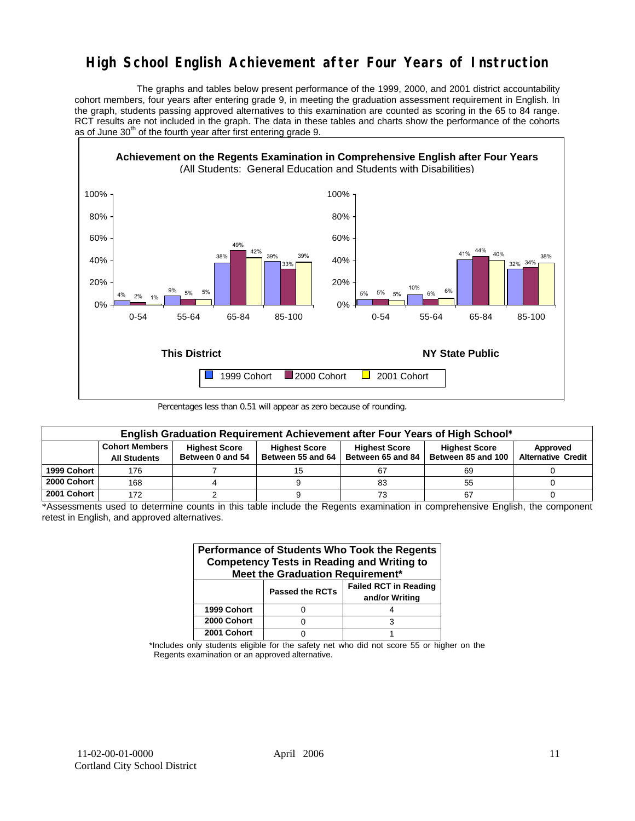## **High School English Achievement after Four Years of Instruction**

 The graphs and tables below present performance of the 1999, 2000, and 2001 district accountability cohort members, four years after entering grade 9, in meeting the graduation assessment requirement in English. In the graph, students passing approved alternatives to this examination are counted as scoring in the 65 to 84 range. RCT results are not included in the graph. The data in these tables and charts show the performance of the cohorts as of June  $30<sup>th</sup>$  of the fourth year after first entering grade 9.



Percentages less than 0.51 will appear as zero because of rounding.

|             | English Graduation Requirement Achievement after Four Years of High School* |                                          |                                           |                                           |                                            |                                       |  |  |  |  |  |  |
|-------------|-----------------------------------------------------------------------------|------------------------------------------|-------------------------------------------|-------------------------------------------|--------------------------------------------|---------------------------------------|--|--|--|--|--|--|
|             | <b>Cohort Members</b><br><b>All Students</b>                                | <b>Highest Score</b><br>Between 0 and 54 | <b>Highest Score</b><br>Between 55 and 64 | <b>Highest Score</b><br>Between 65 and 84 | <b>Highest Score</b><br>Between 85 and 100 | Approved<br><b>Alternative Credit</b> |  |  |  |  |  |  |
| 1999 Cohort | 176                                                                         |                                          |                                           | 67                                        | 69                                         |                                       |  |  |  |  |  |  |
| 2000 Cohort | 168                                                                         |                                          |                                           | 83                                        | 55                                         |                                       |  |  |  |  |  |  |
| 2001 Cohort | 172                                                                         |                                          |                                           | 73                                        | 67                                         |                                       |  |  |  |  |  |  |

<sup>\*</sup>Assessments used to determine counts in this table include the Regents examination in comprehensive English, the component retest in English, and approved alternatives.

| Performance of Students Who Took the Regents<br><b>Competency Tests in Reading and Writing to</b><br>Meet the Graduation Requirement* |                        |                                                |  |  |  |  |  |  |  |
|---------------------------------------------------------------------------------------------------------------------------------------|------------------------|------------------------------------------------|--|--|--|--|--|--|--|
|                                                                                                                                       | <b>Passed the RCTs</b> | <b>Failed RCT in Reading</b><br>and/or Writing |  |  |  |  |  |  |  |
| 1999 Cohort                                                                                                                           |                        |                                                |  |  |  |  |  |  |  |
| 2000 Cohort                                                                                                                           |                        |                                                |  |  |  |  |  |  |  |
| 2001 Cohort                                                                                                                           |                        |                                                |  |  |  |  |  |  |  |

\*Includes only students eligible for the safety net who did not score 55 or higher on the Regents examination or an approved alternative.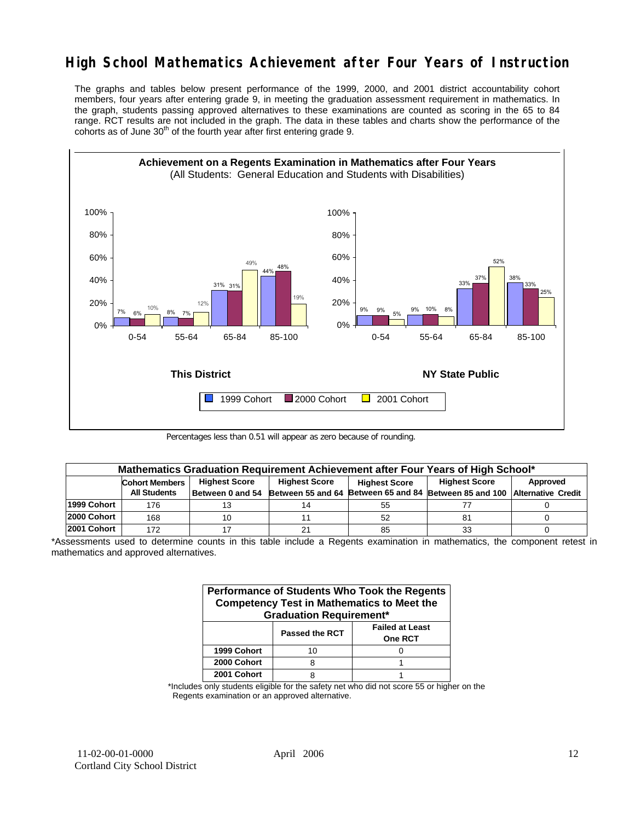## **High School Mathematics Achievement after Four Years of Instruction**

The graphs and tables below present performance of the 1999, 2000, and 2001 district accountability cohort members, four years after entering grade 9, in meeting the graduation assessment requirement in mathematics. In the graph, students passing approved alternatives to these examinations are counted as scoring in the 65 to 84 range. RCT results are not included in the graph. The data in these tables and charts show the performance of the cohorts as of June  $30<sup>th</sup>$  of the fourth year after first entering grade 9.



Percentages less than 0.51 will appear as zero because of rounding.

|             | Mathematics Graduation Requirement Achievement after Four Years of High School* |                  |                                              |    |                                                         |          |  |  |  |  |  |
|-------------|---------------------------------------------------------------------------------|------------------|----------------------------------------------|----|---------------------------------------------------------|----------|--|--|--|--|--|
|             | <b>Highest Score</b><br><b>Cohort Members</b>                                   |                  | <b>Highest Score</b><br><b>Highest Score</b> |    | <b>Highest Score</b>                                    | Approved |  |  |  |  |  |
|             | <b>All Students</b>                                                             | Between 0 and 54 | Between 55 and 64                            |    | Between 65 and 84 Between 85 and 100 Alternative Credit |          |  |  |  |  |  |
| 1999 Cohort | 176                                                                             |                  |                                              | 55 |                                                         |          |  |  |  |  |  |
| 2000 Cohort | 168                                                                             | 10               |                                              | 52 | 81                                                      |          |  |  |  |  |  |
| 2001 Cohort | 172                                                                             |                  |                                              | 85 |                                                         |          |  |  |  |  |  |

<sup>\*</sup>Assessments used to determine counts in this table include a Regents examination in mathematics, the component retest in mathematics and approved alternatives.

| Performance of Students Who Took the Regents<br><b>Competency Test in Mathematics to Meet the</b><br><b>Graduation Requirement*</b> |                |                                          |  |  |  |  |  |  |
|-------------------------------------------------------------------------------------------------------------------------------------|----------------|------------------------------------------|--|--|--|--|--|--|
|                                                                                                                                     | Passed the RCT | <b>Failed at Least</b><br><b>One RCT</b> |  |  |  |  |  |  |
| 1999 Cohort                                                                                                                         | 10             |                                          |  |  |  |  |  |  |
| 2000 Cohort                                                                                                                         |                |                                          |  |  |  |  |  |  |
| 2001 Cohort                                                                                                                         | я              |                                          |  |  |  |  |  |  |

\*Includes only students eligible for the safety net who did not score 55 or higher on the Regents examination or an approved alternative.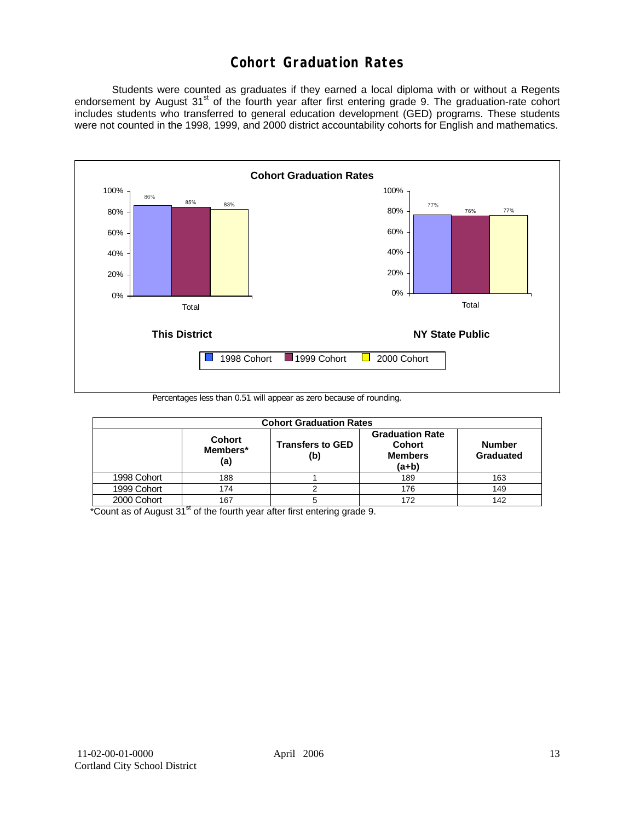## **Cohort Graduation Rates**

 Students were counted as graduates if they earned a local diploma with or without a Regents endorsement by August 31<sup>st</sup> of the fourth year after first entering grade 9. The graduation-rate cohort includes students who transferred to general education development (GED) programs. These students were not counted in the 1998, 1999, and 2000 district accountability cohorts for English and mathematics.



Percentages less than 0.51 will appear as zero because of rounding.

|             | <b>Cohort Graduation Rates</b>   |                                |                                                               |                            |  |  |  |  |  |  |  |
|-------------|----------------------------------|--------------------------------|---------------------------------------------------------------|----------------------------|--|--|--|--|--|--|--|
|             | <b>Cohort</b><br>Members*<br>(a) | <b>Transfers to GED</b><br>(b) | <b>Graduation Rate</b><br>Cohort<br><b>Members</b><br>$(a+b)$ | <b>Number</b><br>Graduated |  |  |  |  |  |  |  |
| 1998 Cohort | 188                              |                                | 189                                                           | 163                        |  |  |  |  |  |  |  |
| 1999 Cohort | 174                              |                                | 176                                                           | 149                        |  |  |  |  |  |  |  |
| 2000 Cohort | 167                              |                                | 172                                                           | 142                        |  |  |  |  |  |  |  |

 $*$ Count as of August 31 $*$  of the fourth year after first entering grade 9.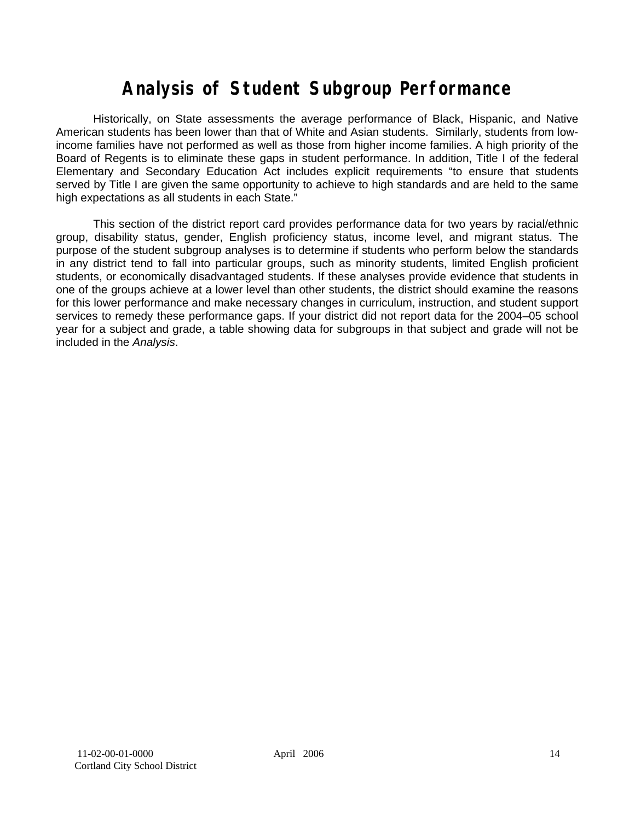# **Analysis of Student Subgroup Performance**

Historically, on State assessments the average performance of Black, Hispanic, and Native American students has been lower than that of White and Asian students. Similarly, students from lowincome families have not performed as well as those from higher income families. A high priority of the Board of Regents is to eliminate these gaps in student performance. In addition, Title I of the federal Elementary and Secondary Education Act includes explicit requirements "to ensure that students served by Title I are given the same opportunity to achieve to high standards and are held to the same high expectations as all students in each State."

This section of the district report card provides performance data for two years by racial/ethnic group, disability status, gender, English proficiency status, income level, and migrant status. The purpose of the student subgroup analyses is to determine if students who perform below the standards in any district tend to fall into particular groups, such as minority students, limited English proficient students, or economically disadvantaged students. If these analyses provide evidence that students in one of the groups achieve at a lower level than other students, the district should examine the reasons for this lower performance and make necessary changes in curriculum, instruction, and student support services to remedy these performance gaps. If your district did not report data for the 2004–05 school year for a subject and grade, a table showing data for subgroups in that subject and grade will not be included in the *Analysis*.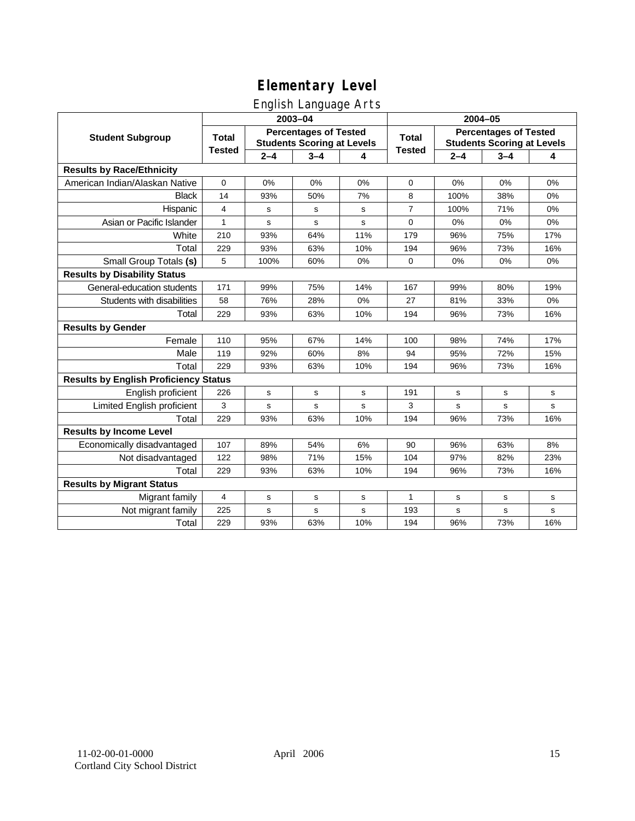## English Language Arts

|                                              |               |         | ັ<br>2003-04                                                      |     | 2004-05        |             |                                                                   |       |
|----------------------------------------------|---------------|---------|-------------------------------------------------------------------|-----|----------------|-------------|-------------------------------------------------------------------|-------|
| <b>Student Subgroup</b>                      | <b>Total</b>  |         | <b>Percentages of Tested</b><br><b>Students Scoring at Levels</b> |     | <b>Total</b>   |             | <b>Percentages of Tested</b><br><b>Students Scoring at Levels</b> |       |
|                                              | <b>Tested</b> | $2 - 4$ | $3 - 4$                                                           | 4   | <b>Tested</b>  | $2 - 4$     | $3 - 4$                                                           | 4     |
| <b>Results by Race/Ethnicity</b>             |               |         |                                                                   |     |                |             |                                                                   |       |
| American Indian/Alaskan Native               | $\mathbf 0$   | 0%      | 0%                                                                | 0%  | 0              | 0%          | 0%                                                                | 0%    |
| <b>Black</b>                                 | 14            | 93%     | 50%                                                               | 7%  | 8              | 100%        | 38%                                                               | 0%    |
| Hispanic                                     | 4             | s       | s                                                                 | s   | $\overline{7}$ | 100%        | 71%                                                               | 0%    |
| Asian or Pacific Islander                    | $\mathbf{1}$  | s       | s                                                                 | s   | 0              | 0%          | 0%                                                                | 0%    |
| White                                        | 210           | 93%     | 64%                                                               | 11% | 179            | 96%         | 75%                                                               | 17%   |
| Total                                        | 229           | 93%     | 63%                                                               | 10% | 194            | 96%         | 73%                                                               | 16%   |
| Small Group Totals (s)                       | 5             | 100%    | 60%                                                               | 0%  | $\Omega$       | 0%          | 0%                                                                | 0%    |
| <b>Results by Disability Status</b>          |               |         |                                                                   |     |                |             |                                                                   |       |
| General-education students                   | 171           | 99%     | 75%                                                               | 14% | 167            | 99%         | 80%                                                               | 19%   |
| Students with disabilities                   | 58            | 76%     | 28%                                                               | 0%  | 27             | 81%         | 33%                                                               | $0\%$ |
| Total                                        | 229           | 93%     | 63%                                                               | 10% | 194            | 96%         | 73%                                                               | 16%   |
| <b>Results by Gender</b>                     |               |         |                                                                   |     |                |             |                                                                   |       |
| Female                                       | 110           | 95%     | 67%                                                               | 14% | 100            | 98%         | 74%                                                               | 17%   |
| Male                                         | 119           | 92%     | 60%                                                               | 8%  | 94             | 95%         | 72%                                                               | 15%   |
| Total                                        | 229           | 93%     | 63%                                                               | 10% | 194            | 96%         | 73%                                                               | 16%   |
| <b>Results by English Proficiency Status</b> |               |         |                                                                   |     |                |             |                                                                   |       |
| English proficient                           | 226           | s       | $\mathbf s$                                                       | s   | 191            | $\mathbf s$ | s                                                                 | s     |
| Limited English proficient                   | 3             | s       | s                                                                 | s   | 3              | $\mathbf s$ | s                                                                 | s     |
| Total                                        | 229           | 93%     | 63%                                                               | 10% | 194            | 96%         | 73%                                                               | 16%   |
| <b>Results by Income Level</b>               |               |         |                                                                   |     |                |             |                                                                   |       |
| Economically disadvantaged                   | 107           | 89%     | 54%                                                               | 6%  | 90             | 96%         | 63%                                                               | 8%    |
| Not disadvantaged                            | 122           | 98%     | 71%                                                               | 15% | 104            | 97%         | 82%                                                               | 23%   |
| Total                                        | 229           | 93%     | 63%                                                               | 10% | 194            | 96%         | 73%                                                               | 16%   |
| <b>Results by Migrant Status</b>             |               |         |                                                                   |     |                |             |                                                                   |       |
| Migrant family                               | 4             | s       | s                                                                 | s   | 1              | s           | s                                                                 | s     |
| Not migrant family                           | 225           | s       | s                                                                 | s   | 193            | s           | s                                                                 | s     |
| Total                                        | 229           | 93%     | 63%                                                               | 10% | 194            | 96%         | 73%                                                               | 16%   |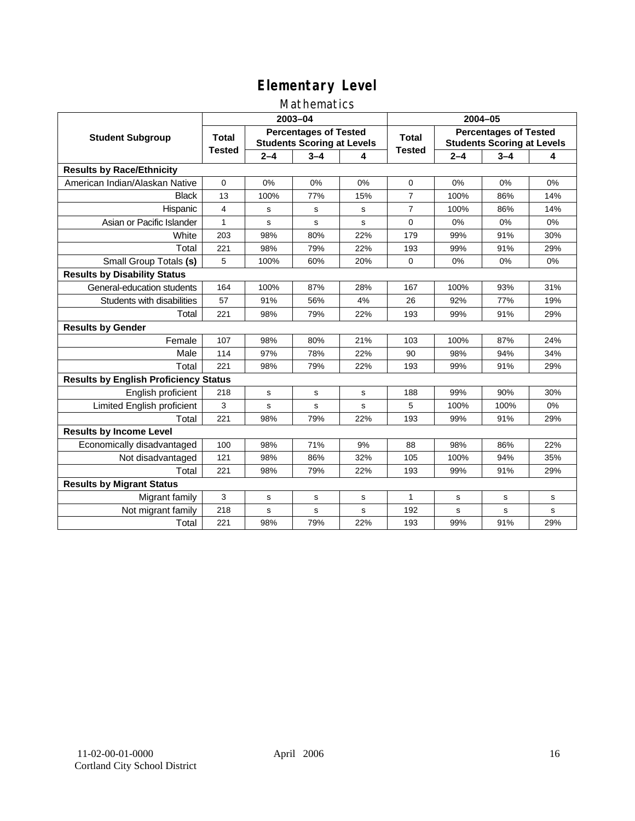### Mathematics

|                                              |               |             | 2003-04                                                           |     | 2004-05        |         |                                                                   |     |
|----------------------------------------------|---------------|-------------|-------------------------------------------------------------------|-----|----------------|---------|-------------------------------------------------------------------|-----|
| <b>Student Subgroup</b>                      | <b>Total</b>  |             | <b>Percentages of Tested</b><br><b>Students Scoring at Levels</b> |     | Total          |         | <b>Percentages of Tested</b><br><b>Students Scoring at Levels</b> |     |
|                                              | <b>Tested</b> | $2 - 4$     | $3 - 4$                                                           | 4   | <b>Tested</b>  | $2 - 4$ | $3 - 4$                                                           | 4   |
| <b>Results by Race/Ethnicity</b>             |               |             |                                                                   |     |                |         |                                                                   |     |
| American Indian/Alaskan Native               | $\mathbf{0}$  | 0%          | 0%                                                                | 0%  | $\mathbf 0$    | 0%      | 0%                                                                | 0%  |
| <b>Black</b>                                 | 13            | 100%        | 77%                                                               | 15% | $\overline{7}$ | 100%    | 86%                                                               | 14% |
| Hispanic                                     | 4             | s           | s                                                                 | s   | $\overline{7}$ | 100%    | 86%                                                               | 14% |
| Asian or Pacific Islander                    | $\mathbf{1}$  | s           | s                                                                 | s   | $\mathbf 0$    | 0%      | 0%                                                                | 0%  |
| White                                        | 203           | 98%         | 80%                                                               | 22% | 179            | 99%     | 91%                                                               | 30% |
| Total                                        | 221           | 98%         | 79%                                                               | 22% | 193            | 99%     | 91%                                                               | 29% |
| Small Group Totals (s)                       | 5             | 100%        | 60%                                                               | 20% | $\Omega$       | 0%      | 0%                                                                | 0%  |
| <b>Results by Disability Status</b>          |               |             |                                                                   |     |                |         |                                                                   |     |
| General-education students                   | 164           | 100%        | 87%                                                               | 28% | 167            | 100%    | 93%                                                               | 31% |
| Students with disabilities                   | 57            | 91%         | 56%                                                               | 4%  | 26             | 92%     | 77%                                                               | 19% |
| Total                                        | 221           | 98%         | 79%                                                               | 22% | 193            | 99%     | 91%                                                               | 29% |
| <b>Results by Gender</b>                     |               |             |                                                                   |     |                |         |                                                                   |     |
| Female                                       | 107           | 98%         | 80%                                                               | 21% | 103            | 100%    | 87%                                                               | 24% |
| Male                                         | 114           | 97%         | 78%                                                               | 22% | 90             | 98%     | 94%                                                               | 34% |
| Total                                        | 221           | 98%         | 79%                                                               | 22% | 193            | 99%     | 91%                                                               | 29% |
| <b>Results by English Proficiency Status</b> |               |             |                                                                   |     |                |         |                                                                   |     |
| English proficient                           | 218           | $\mathbf s$ | $\mathbf s$                                                       | s   | 188            | 99%     | 90%                                                               | 30% |
| Limited English proficient                   | 3             | s           | s                                                                 | s   | 5              | 100%    | 100%                                                              | 0%  |
| Total                                        | 221           | 98%         | 79%                                                               | 22% | 193            | 99%     | 91%                                                               | 29% |
| <b>Results by Income Level</b>               |               |             |                                                                   |     |                |         |                                                                   |     |
| Economically disadvantaged                   | 100           | 98%         | 71%                                                               | 9%  | 88             | 98%     | 86%                                                               | 22% |
| Not disadvantaged                            | 121           | 98%         | 86%                                                               | 32% | 105            | 100%    | 94%                                                               | 35% |
| Total                                        | 221           | 98%         | 79%                                                               | 22% | 193            | 99%     | 91%                                                               | 29% |
| <b>Results by Migrant Status</b>             |               |             |                                                                   |     |                |         |                                                                   |     |
| Migrant family                               | 3             | s           | s                                                                 | s   | 1              | s       | s                                                                 | s   |
| Not migrant family                           | 218           | s           | s                                                                 | s   | 192            | s       | s                                                                 | s   |
| Total                                        | 221           | 98%         | 79%                                                               | 22% | 193            | 99%     | 91%                                                               | 29% |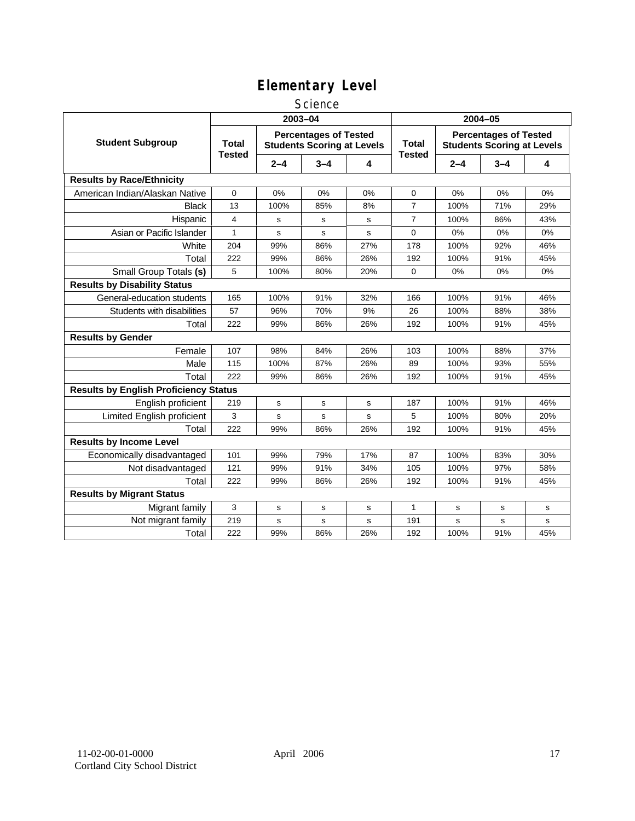#### **Science**

|                                              | 2003-04                       |         |                                                                   |           | 2004-05                       |         |                                                                   |     |  |
|----------------------------------------------|-------------------------------|---------|-------------------------------------------------------------------|-----------|-------------------------------|---------|-------------------------------------------------------------------|-----|--|
| <b>Student Subgroup</b>                      | <b>Total</b><br><b>Tested</b> |         | <b>Percentages of Tested</b><br><b>Students Scoring at Levels</b> |           | <b>Total</b><br><b>Tested</b> |         | <b>Percentages of Tested</b><br><b>Students Scoring at Levels</b> |     |  |
|                                              |                               | $2 - 4$ | $3 - 4$                                                           | 4         |                               | $2 - 4$ | $3 - 4$                                                           | 4   |  |
| <b>Results by Race/Ethnicity</b>             |                               |         |                                                                   |           |                               |         |                                                                   |     |  |
| American Indian/Alaskan Native               | 0                             | 0%      | 0%                                                                | 0%        | 0                             | 0%      | 0%                                                                | 0%  |  |
| <b>Black</b>                                 | 13                            | 100%    | 85%                                                               | 8%        | $\overline{7}$                | 100%    | 71%                                                               | 29% |  |
| Hispanic                                     | 4                             | s       | s                                                                 | s         | $\overline{7}$                | 100%    | 86%                                                               | 43% |  |
| Asian or Pacific Islander                    | $\mathbf{1}$                  | s       | s                                                                 | s         | $\mathbf 0$                   | 0%      | 0%                                                                | 0%  |  |
| White                                        | 204                           | 99%     | 86%                                                               | 27%       | 178                           | 100%    | 92%                                                               | 46% |  |
| Total                                        | 222                           | 99%     | 86%                                                               | 26%       | 192                           | 100%    | 91%                                                               | 45% |  |
| Small Group Totals (s)                       | 5                             | 100%    | 80%                                                               | 20%       | $\mathbf 0$                   | 0%      | 0%                                                                | 0%  |  |
| <b>Results by Disability Status</b>          |                               |         |                                                                   |           |                               |         |                                                                   |     |  |
| General-education students                   | 165                           | 100%    | 91%                                                               | 32%       | 166                           | 100%    | 91%                                                               | 46% |  |
| Students with disabilities                   | 57                            | 96%     | 70%                                                               | 9%        | 26                            | 100%    | 88%                                                               | 38% |  |
| Total                                        | 222                           | 99%     | 86%                                                               | 26%       | 192                           | 100%    | 91%                                                               | 45% |  |
| <b>Results by Gender</b>                     |                               |         |                                                                   |           |                               |         |                                                                   |     |  |
| Female                                       | 107                           | 98%     | 84%                                                               | 26%       | 103                           | 100%    | 88%                                                               | 37% |  |
| Male                                         | 115                           | 100%    | 87%                                                               | 26%       | 89                            | 100%    | 93%                                                               | 55% |  |
| Total                                        | 222                           | 99%     | 86%                                                               | 26%       | 192                           | 100%    | 91%                                                               | 45% |  |
| <b>Results by English Proficiency Status</b> |                               |         |                                                                   |           |                               |         |                                                                   |     |  |
| English proficient                           | 219                           | s       | s                                                                 | s         | 187                           | 100%    | 91%                                                               | 46% |  |
| Limited English proficient                   | 3                             | s       | s                                                                 | s         | 5                             | 100%    | 80%                                                               | 20% |  |
| Total                                        | 222                           | 99%     | 86%                                                               | 26%       | 192                           | 100%    | 91%                                                               | 45% |  |
| <b>Results by Income Level</b>               |                               |         |                                                                   |           |                               |         |                                                                   |     |  |
| Economically disadvantaged                   | 101                           | 99%     | 79%                                                               | 17%       | 87                            | 100%    | 83%                                                               | 30% |  |
| Not disadvantaged                            | 121                           | 99%     | 91%                                                               | 34%       | 105                           | 100%    | 97%                                                               | 58% |  |
| Total                                        | 222                           | 99%     | 86%                                                               | 26%       | 192                           | 100%    | 91%                                                               | 45% |  |
| <b>Results by Migrant Status</b>             |                               |         |                                                                   |           |                               |         |                                                                   |     |  |
| Migrant family                               | 3                             | s       | s                                                                 | s         | $\mathbf{1}$                  | s       | s                                                                 | s   |  |
| Not migrant family                           | 219                           | s       | s                                                                 | ${\tt s}$ | 191                           | s       | s                                                                 | s   |  |
| Total                                        | 222                           | 99%     | 86%                                                               | 26%       | 192                           | 100%    | 91%                                                               | 45% |  |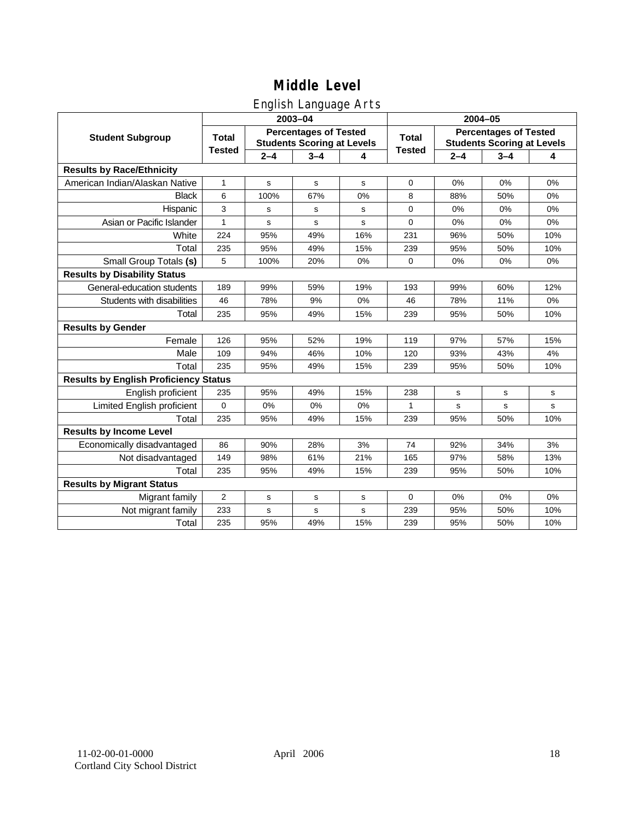## English Language Arts

|                                              |                |             | ັ<br>2003-04                                                      |     | 2004-05       |         |                                                                   |             |  |
|----------------------------------------------|----------------|-------------|-------------------------------------------------------------------|-----|---------------|---------|-------------------------------------------------------------------|-------------|--|
| <b>Student Subgroup</b>                      | <b>Total</b>   |             | <b>Percentages of Tested</b><br><b>Students Scoring at Levels</b> |     | <b>Total</b>  |         | <b>Percentages of Tested</b><br><b>Students Scoring at Levels</b> |             |  |
|                                              | <b>Tested</b>  | $2 - 4$     | $3 - 4$                                                           | 4   | <b>Tested</b> | $2 - 4$ | $3 - 4$                                                           | 4           |  |
| <b>Results by Race/Ethnicity</b>             |                |             |                                                                   |     |               |         |                                                                   |             |  |
| American Indian/Alaskan Native               | $\mathbf{1}$   | $\mathbf s$ | $\mathbf s$                                                       | s   | $\mathbf 0$   | 0%      | 0%                                                                | 0%          |  |
| <b>Black</b>                                 | 6              | 100%        | 67%                                                               | 0%  | 8             | 88%     | 50%                                                               | 0%          |  |
| Hispanic                                     | 3              | s           | s                                                                 | s   | $\mathbf 0$   | 0%      | 0%                                                                | 0%          |  |
| Asian or Pacific Islander                    | 1              | s           | s                                                                 | s   | $\mathbf 0$   | 0%      | 0%                                                                | 0%          |  |
| White                                        | 224            | 95%         | 49%                                                               | 16% | 231           | 96%     | 50%                                                               | 10%         |  |
| Total                                        | 235            | 95%         | 49%                                                               | 15% | 239           | 95%     | 50%                                                               | 10%         |  |
| Small Group Totals (s)                       | 5              | 100%        | 20%                                                               | 0%  | 0             | 0%      | 0%                                                                | 0%          |  |
| <b>Results by Disability Status</b>          |                |             |                                                                   |     |               |         |                                                                   |             |  |
| General-education students                   | 189            | 99%         | 59%                                                               | 19% | 193           | 99%     | 60%                                                               | 12%         |  |
| Students with disabilities                   | 46             | 78%         | 9%                                                                | 0%  | 46            | 78%     | 11%                                                               | 0%          |  |
| Total                                        | 235            | 95%         | 49%                                                               | 15% | 239           | 95%     | 50%                                                               | 10%         |  |
| <b>Results by Gender</b>                     |                |             |                                                                   |     |               |         |                                                                   |             |  |
| Female                                       | 126            | 95%         | 52%                                                               | 19% | 119           | 97%     | 57%                                                               | 15%         |  |
| Male                                         | 109            | 94%         | 46%                                                               | 10% | 120           | 93%     | 43%                                                               | 4%          |  |
| Total                                        | 235            | 95%         | 49%                                                               | 15% | 239           | 95%     | 50%                                                               | 10%         |  |
| <b>Results by English Proficiency Status</b> |                |             |                                                                   |     |               |         |                                                                   |             |  |
| English proficient                           | 235            | 95%         | 49%                                                               | 15% | 238           | s       | $\mathbf s$                                                       | s           |  |
| Limited English proficient                   | $\mathbf{0}$   | 0%          | 0%                                                                | 0%  | 1             | s       | s                                                                 | $\mathbf s$ |  |
| Total                                        | 235            | 95%         | 49%                                                               | 15% | 239           | 95%     | 50%                                                               | 10%         |  |
| <b>Results by Income Level</b>               |                |             |                                                                   |     |               |         |                                                                   |             |  |
| Economically disadvantaged                   | 86             | 90%         | 28%                                                               | 3%  | 74            | 92%     | 34%                                                               | 3%          |  |
| Not disadvantaged                            | 149            | 98%         | 61%                                                               | 21% | 165           | 97%     | 58%                                                               | 13%         |  |
| Total                                        | 235            | 95%         | 49%                                                               | 15% | 239           | 95%     | 50%                                                               | 10%         |  |
| <b>Results by Migrant Status</b>             |                |             |                                                                   |     |               |         |                                                                   |             |  |
| Migrant family                               | $\overline{2}$ | s           | s                                                                 | s   | 0             | 0%      | 0%                                                                | 0%          |  |
| Not migrant family                           | 233            | s           | s                                                                 | s   | 239           | 95%     | 50%                                                               | 10%         |  |
| Total                                        | 235            | 95%         | 49%                                                               | 15% | 239           | 95%     | 50%                                                               | 10%         |  |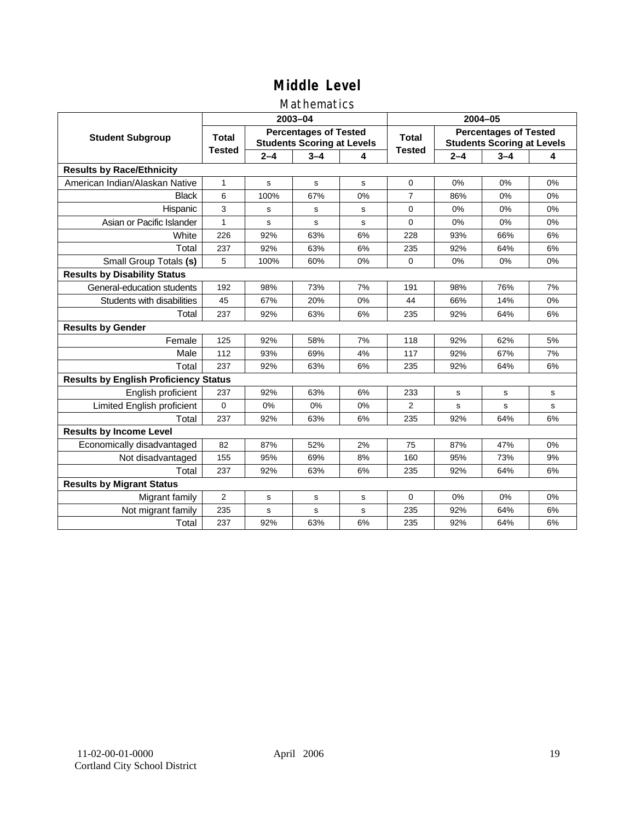### Mathematics

|                                              |               |         | 2003-04                                                           |    | 2004-05        |             |                                                                   |    |
|----------------------------------------------|---------------|---------|-------------------------------------------------------------------|----|----------------|-------------|-------------------------------------------------------------------|----|
| <b>Student Subgroup</b>                      | <b>Total</b>  |         | <b>Percentages of Tested</b><br><b>Students Scoring at Levels</b> |    | Total          |             | <b>Percentages of Tested</b><br><b>Students Scoring at Levels</b> |    |
|                                              | <b>Tested</b> | $2 - 4$ | $3 - 4$                                                           | 4  | <b>Tested</b>  | $2 - 4$     | $3 - 4$                                                           | 4  |
| <b>Results by Race/Ethnicity</b>             |               |         |                                                                   |    |                |             |                                                                   |    |
| American Indian/Alaskan Native               | $\mathbf{1}$  | s       | s                                                                 | s  | $\mathbf 0$    | 0%          | 0%                                                                | 0% |
| <b>Black</b>                                 | 6             | 100%    | 67%                                                               | 0% | 7              | 86%         | 0%                                                                | 0% |
| Hispanic                                     | 3             | s       | s                                                                 | s  | $\Omega$       | 0%          | 0%                                                                | 0% |
| Asian or Pacific Islander                    | $\mathbf{1}$  | s       | s                                                                 | s  | $\Omega$       | 0%          | 0%                                                                | 0% |
| White                                        | 226           | 92%     | 63%                                                               | 6% | 228            | 93%         | 66%                                                               | 6% |
| Total                                        | 237           | 92%     | 63%                                                               | 6% | 235            | 92%         | 64%                                                               | 6% |
| Small Group Totals (s)                       | 5             | 100%    | 60%                                                               | 0% | $\Omega$       | 0%          | 0%                                                                | 0% |
| <b>Results by Disability Status</b>          |               |         |                                                                   |    |                |             |                                                                   |    |
| General-education students                   | 192           | 98%     | 73%                                                               | 7% | 191            | 98%         | 76%                                                               | 7% |
| Students with disabilities                   | 45            | 67%     | 20%                                                               | 0% | 44             | 66%         | 14%                                                               | 0% |
| Total                                        | 237           | 92%     | 63%                                                               | 6% | 235            | 92%         | 64%                                                               | 6% |
| <b>Results by Gender</b>                     |               |         |                                                                   |    |                |             |                                                                   |    |
| Female                                       | 125           | 92%     | 58%                                                               | 7% | 118            | 92%         | 62%                                                               | 5% |
| Male                                         | 112           | 93%     | 69%                                                               | 4% | 117            | 92%         | 67%                                                               | 7% |
| Total                                        | 237           | 92%     | 63%                                                               | 6% | 235            | 92%         | 64%                                                               | 6% |
| <b>Results by English Proficiency Status</b> |               |         |                                                                   |    |                |             |                                                                   |    |
| English proficient                           | 237           | 92%     | 63%                                                               | 6% | 233            | $\mathbf s$ | $\mathbf s$                                                       | s  |
| Limited English proficient                   | $\mathbf{0}$  | 0%      | 0%                                                                | 0% | $\overline{2}$ | s           | s                                                                 | s  |
| Total                                        | 237           | 92%     | 63%                                                               | 6% | 235            | 92%         | 64%                                                               | 6% |
| <b>Results by Income Level</b>               |               |         |                                                                   |    |                |             |                                                                   |    |
| Economically disadvantaged                   | 82            | 87%     | 52%                                                               | 2% | 75             | 87%         | 47%                                                               | 0% |
| Not disadvantaged                            | 155           | 95%     | 69%                                                               | 8% | 160            | 95%         | 73%                                                               | 9% |
| Total                                        | 237           | 92%     | 63%                                                               | 6% | 235            | 92%         | 64%                                                               | 6% |
| <b>Results by Migrant Status</b>             |               |         |                                                                   |    |                |             |                                                                   |    |
| Migrant family                               | 2             | s       | s                                                                 | s  | $\Omega$       | 0%          | 0%                                                                | 0% |
| Not migrant family                           | 235           | s       | s                                                                 | s  | 235            | 92%         | 64%                                                               | 6% |
| Total                                        | 237           | 92%     | 63%                                                               | 6% | 235            | 92%         | 64%                                                               | 6% |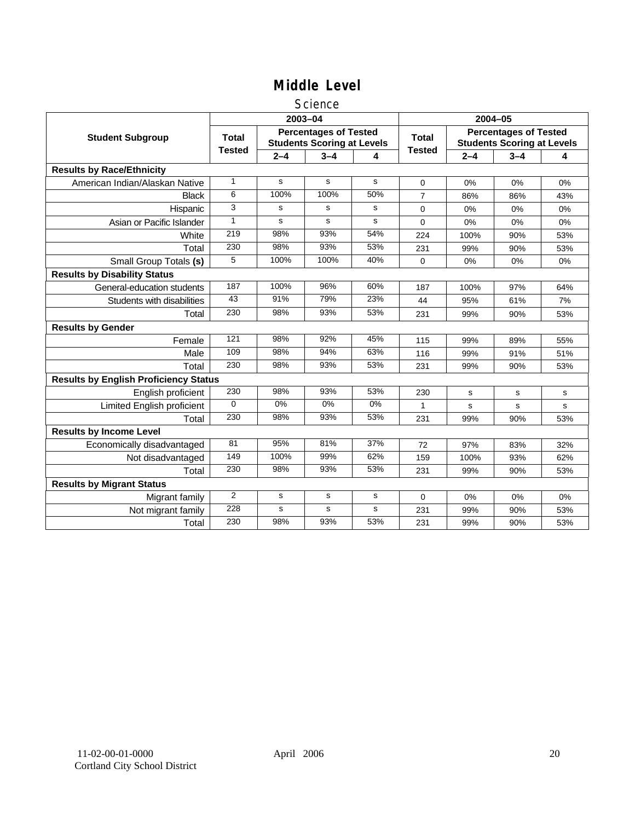#### **Science**

|                                              |                 |             | 2003-04                                                           |             | 2004-05        |         |                                                                   |     |
|----------------------------------------------|-----------------|-------------|-------------------------------------------------------------------|-------------|----------------|---------|-------------------------------------------------------------------|-----|
| <b>Student Subgroup</b>                      | <b>Total</b>    |             | <b>Percentages of Tested</b><br><b>Students Scoring at Levels</b> |             | <b>Total</b>   |         | <b>Percentages of Tested</b><br><b>Students Scoring at Levels</b> |     |
|                                              | <b>Tested</b>   | $2 - 4$     | $3 - 4$                                                           | 4           | <b>Tested</b>  | $2 - 4$ | $3 - 4$                                                           | 4   |
| <b>Results by Race/Ethnicity</b>             |                 |             |                                                                   |             |                |         |                                                                   |     |
| American Indian/Alaskan Native               | $\mathbf{1}$    | s           | s                                                                 | s           | $\Omega$       | 0%      | 0%                                                                | 0%  |
| <b>Black</b>                                 | 6               | 100%        | 100%                                                              | 50%         | $\overline{7}$ | 86%     | 86%                                                               | 43% |
| Hispanic                                     | 3               | s           | s                                                                 | s           | $\Omega$       | 0%      | 0%                                                                | 0%  |
| Asian or Pacific Islander                    | 1               | s           | s                                                                 | s           | 0              | $0\%$   | 0%                                                                | 0%  |
| White                                        | 219             | 98%         | 93%                                                               | 54%         | 224            | 100%    | 90%                                                               | 53% |
| Total                                        | 230             | 98%         | 93%                                                               | 53%         | 231            | 99%     | 90%                                                               | 53% |
| Small Group Totals (s)                       | 5               | 100%        | 100%                                                              | 40%         | $\Omega$       | 0%      | 0%                                                                | 0%  |
| <b>Results by Disability Status</b>          |                 |             |                                                                   |             |                |         |                                                                   |     |
| General-education students                   | 187             | 100%        | 96%                                                               | 60%         | 187            | 100%    | 97%                                                               | 64% |
| Students with disabilities                   | $\overline{43}$ | 91%         | 79%                                                               | 23%         | 44             | 95%     | 61%                                                               | 7%  |
| Total                                        | 230             | 98%         | 93%                                                               | 53%         | 231            | 99%     | 90%                                                               | 53% |
| <b>Results by Gender</b>                     |                 |             |                                                                   |             |                |         |                                                                   |     |
| Female                                       | 121             | 98%         | 92%                                                               | 45%         | 115            | 99%     | 89%                                                               | 55% |
| Male                                         | 109             | 98%         | 94%                                                               | 63%         | 116            | 99%     | 91%                                                               | 51% |
| Total                                        | 230             | 98%         | 93%                                                               | 53%         | 231            | 99%     | 90%                                                               | 53% |
| <b>Results by English Proficiency Status</b> |                 |             |                                                                   |             |                |         |                                                                   |     |
| English proficient                           | 230             | 98%         | 93%                                                               | 53%         | 230            | s       | s                                                                 | s   |
| <b>Limited English proficient</b>            | $\Omega$        | $0\%$       | 0%                                                                | $0\%$       | 1              | s       | s                                                                 | s   |
| Total                                        | 230             | 98%         | 93%                                                               | 53%         | 231            | 99%     | 90%                                                               | 53% |
| <b>Results by Income Level</b>               |                 |             |                                                                   |             |                |         |                                                                   |     |
| Economically disadvantaged                   | 81              | 95%         | 81%                                                               | 37%         | 72             | 97%     | 83%                                                               | 32% |
| Not disadvantaged                            | 149             | 100%        | 99%                                                               | 62%         | 159            | 100%    | 93%                                                               | 62% |
| Total                                        | 230             | 98%         | 93%                                                               | 53%         | 231            | 99%     | 90%                                                               | 53% |
| <b>Results by Migrant Status</b>             |                 |             |                                                                   |             |                |         |                                                                   |     |
| Migrant family                               | 2               | s           | s                                                                 | s           | 0              | 0%      | 0%                                                                | 0%  |
| Not migrant family                           | 228             | $\mathbf s$ | s                                                                 | $\mathbf s$ | 231            | 99%     | 90%                                                               | 53% |
| Total                                        | 230             | 98%         | 93%                                                               | 53%         | 231            | 99%     | 90%                                                               | 53% |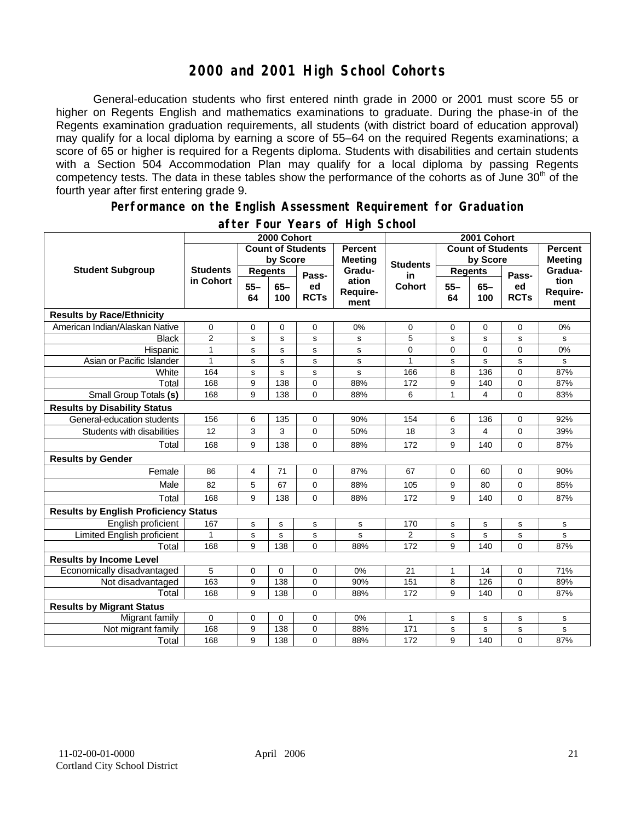## **2000 and 2001 High School Cohorts**

General-education students who first entered ninth grade in 2000 or 2001 must score 55 or higher on Regents English and mathematics examinations to graduate. During the phase-in of the Regents examination graduation requirements, all students (with district board of education approval) may qualify for a local diploma by earning a score of 55–64 on the required Regents examinations; a score of 65 or higher is required for a Regents diploma. Students with disabilities and certain students with a Section 504 Accommodation Plan may qualify for a local diploma by passing Regents competency tests. The data in these tables show the performance of the cohorts as of June 30<sup>th</sup> of the fourth year after first entering grade 9.

#### **Performance on the English Assessment Requirement for Graduation**

|                                              | 2000 Cohort                  |                          |               |                   |                                  | 2001 Cohort              |                |               |                   |                          |
|----------------------------------------------|------------------------------|--------------------------|---------------|-------------------|----------------------------------|--------------------------|----------------|---------------|-------------------|--------------------------|
| <b>Student Subgroup</b>                      |                              | <b>Count of Students</b> |               |                   | <b>Percent</b><br><b>Meeting</b> | <b>Count of Students</b> |                |               |                   | <b>Percent</b>           |
|                                              | <b>Students</b><br>in Cohort | by Score                 |               |                   |                                  | <b>Students</b>          | by Score       |               | <b>Meeting</b>    |                          |
|                                              |                              | <b>Regents</b>           |               | Pass-             | Gradu-                           | in                       | <b>Regents</b> |               | Pass-             | Gradua-                  |
|                                              |                              | $55 -$<br>64             | $65 -$<br>100 | ed<br><b>RCTs</b> | ation<br>Require-<br>ment        | <b>Cohort</b>            | $55 -$<br>64   | $65 -$<br>100 | ed<br><b>RCTs</b> | tion<br>Require-<br>ment |
| <b>Results by Race/Ethnicity</b>             |                              |                          |               |                   |                                  |                          |                |               |                   |                          |
| American Indian/Alaskan Native               | 0                            | 0                        | $\mathbf 0$   | 0                 | 0%                               | $\mathbf 0$              | 0              | $\mathbf 0$   | 0                 | 0%                       |
| <b>Black</b>                                 | $\overline{2}$               | s                        | s             | s                 | s                                | 5                        | s              | s             | s                 | s                        |
| Hispanic                                     | $\mathbf{1}$                 | S                        | s             | s                 | s                                | 0                        | 0              | $\mathbf 0$   | 0                 | 0%                       |
| Asian or Pacific Islander                    | $\mathbf{1}$                 | s                        | $\mathbf s$   | s                 | ${\tt s}$                        | 1                        | s              | $\mathbf{s}$  | s                 | s                        |
| White                                        | 164                          | $\mathbf S$              | $\mathbf s$   | s                 | s                                | 166                      | 8              | 136           | 0                 | 87%                      |
| Total                                        | 168                          | 9                        | 138           | 0                 | 88%                              | 172                      | 9              | 140           | 0                 | 87%                      |
| Small Group Totals (s)                       | 168                          | 9                        | 138           | 0                 | 88%                              | 6                        | $\mathbf{1}$   | 4             | $\Omega$          | 83%                      |
| <b>Results by Disability Status</b>          |                              |                          |               |                   |                                  |                          |                |               |                   |                          |
| General-education students                   | 156                          | 6                        | 135           | 0                 | 90%                              | 154                      | 6              | 136           | 0                 | 92%                      |
| Students with disabilities                   | 12                           | 3                        | 3             | 0                 | 50%                              | 18                       | 3              | 4             | 0                 | 39%                      |
| Total                                        | 168                          | 9                        | 138           | 0                 | 88%                              | 172                      | 9              | 140           | 0                 | 87%                      |
| <b>Results by Gender</b>                     |                              |                          |               |                   |                                  |                          |                |               |                   |                          |
| Female                                       | 86                           | $\overline{4}$           | 71            | 0                 | 87%                              | 67                       | 0              | 60            | 0                 | 90%                      |
| Male                                         | 82                           | 5                        | 67            | 0                 | 88%                              | 105                      | 9              | 80            | 0                 | 85%                      |
| Total                                        | 168                          | 9                        | 138           | 0                 | 88%                              | 172                      | 9              | 140           | 0                 | 87%                      |
| <b>Results by English Proficiency Status</b> |                              |                          |               |                   |                                  |                          |                |               |                   |                          |
| English proficient                           | 167                          | $\mathbf s$              | ${\bf s}$     | s                 | s                                | 170                      | s              | s             | s                 | $\mathbf s$              |
| Limited English proficient                   | 1                            | s                        | s             | s                 | s                                | 2                        | s              | s             | s                 | s                        |
| Total                                        | 168                          | 9                        | 138           | $\Omega$          | 88%                              | 172                      | 9              | 140           | $\Omega$          | 87%                      |
| <b>Results by Income Level</b>               |                              |                          |               |                   |                                  |                          |                |               |                   |                          |
| Economically disadvantaged                   | 5                            | $\pmb{0}$                | $\mathbf{0}$  | 0                 | 0%                               | 21                       | $\mathbf{1}$   | 14            | 0                 | 71%                      |
| Not disadvantaged                            | 163                          | 9                        | 138           | 0                 | 90%                              | 151                      | 8              | 126           | 0                 | 89%                      |
| Total                                        | 168                          | 9                        | 138           | $\Omega$          | 88%                              | 172                      | 9              | 140           | $\Omega$          | 87%                      |
| <b>Results by Migrant Status</b>             |                              |                          |               |                   |                                  |                          |                |               |                   |                          |
| Migrant family                               | 0                            | 0                        | 0             | 0                 | 0%                               | 1                        | s              | s             | s                 | s                        |
| Not migrant family                           | 168                          | 9                        | 138           | 0                 | 88%                              | 171                      | s              | s             | s                 | s                        |
| Total                                        | 168                          | 9                        | 138           | 0                 | 88%                              | 172                      | 9              | 140           | 0                 | 87%                      |

#### **after Four Years of High School**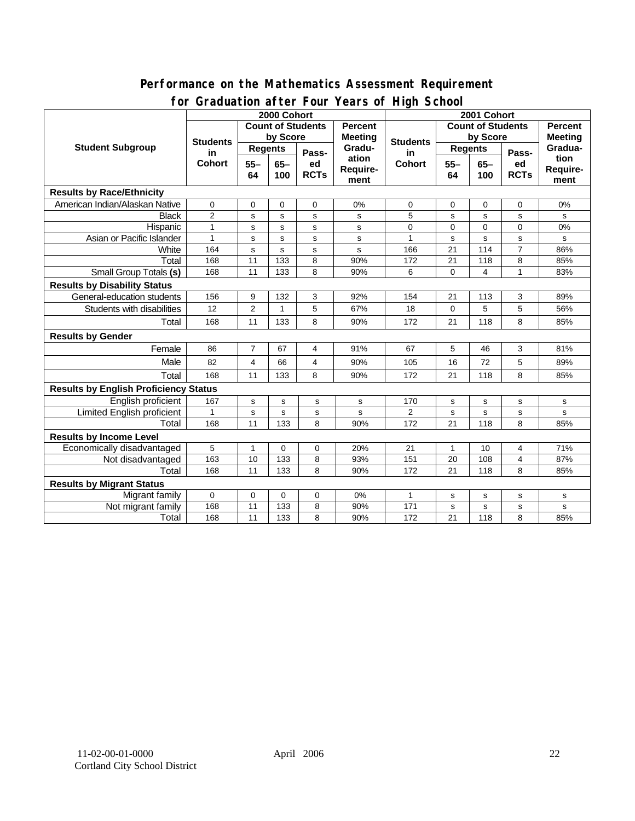#### **Performance on the Mathematics Assessment Requirement for Graduation after Four Years of High School**

|                                              | <u><b>Dragation artor roar roars or right conoon</b></u><br>2000 Cohort |                 |              |             |                 | 2001 Cohort                                |                |             |                |                |
|----------------------------------------------|-------------------------------------------------------------------------|-----------------|--------------|-------------|-----------------|--------------------------------------------|----------------|-------------|----------------|----------------|
| <b>Student Subgroup</b>                      | <b>Count of Students</b>                                                |                 |              |             | <b>Percent</b>  | <b>Count of Students</b><br><b>Percent</b> |                |             |                |                |
|                                              | <b>Students</b><br>in<br><b>Cohort</b>                                  | by Score        |              |             | <b>Meeting</b>  |                                            | by Score       |             |                | <b>Meeting</b> |
|                                              |                                                                         | <b>Regents</b>  |              |             | Gradu-<br>ation | <b>Students</b><br>in<br><b>Cohort</b>     | <b>Regents</b> |             |                | Gradua-        |
|                                              |                                                                         | $55 -$<br>$65-$ |              | Pass-<br>ed |                 |                                            | $55 -$         | $65-$       | Pass-<br>ed    | tion           |
|                                              |                                                                         | 64              | 100          | <b>RCTs</b> | Require-        |                                            | 64             | 100         | <b>RCTs</b>    | Require-       |
|                                              |                                                                         |                 |              |             | ment            |                                            |                |             |                | ment           |
| <b>Results by Race/Ethnicity</b>             |                                                                         |                 |              |             |                 |                                            |                |             |                |                |
| American Indian/Alaskan Native               | 0                                                                       | 0               | 0            | 0           | 0%              | 0                                          | 0              | 0           | $\mathbf 0$    | 0%             |
| <b>Black</b>                                 | $\overline{2}$                                                          | s               | s            | s           | s               | 5                                          | s              | s           | s              | s              |
| Hispanic                                     | $\mathbf{1}$                                                            | s               | s            | s           | s               | 0                                          | 0              | $\Omega$    | $\Omega$       | 0%             |
| Asian or Pacific Islander                    | $\mathbf{1}$                                                            | s               | s            | s           | s               | 1                                          | s              | s           | s              | s              |
| White                                        | 164                                                                     | s               | s            | s           | s               | 166                                        | 21             | 114         | $\overline{7}$ | 86%            |
| Total                                        | 168                                                                     | 11              | 133          | 8           | 90%             | 172                                        | 21             | 118         | 8              | 85%            |
| <b>Small Group Totals (s)</b>                | 168                                                                     | 11              | 133          | 8           | 90%             | 6                                          | 0              | 4           | $\mathbf{1}$   | 83%            |
| <b>Results by Disability Status</b>          |                                                                         |                 |              |             |                 |                                            |                |             |                |                |
| General-education students                   | 156                                                                     | 9               | 132          | 3           | 92%             | 154                                        | 21             | 113         | 3              | 89%            |
| Students with disabilities                   | 12                                                                      | 2               | $\mathbf{1}$ | 5           | 67%             | 18                                         | 0              | 5           | 5              | 56%            |
| Total                                        | 168                                                                     | 11              | 133          | 8           | 90%             | 172                                        | 21             | 118         | 8              | 85%            |
| <b>Results by Gender</b>                     |                                                                         |                 |              |             |                 |                                            |                |             |                |                |
| Female                                       | 86                                                                      | $\overline{7}$  | 67           | 4           | 91%             | 67                                         | 5              | 46          | 3              | 81%            |
| Male                                         | 82                                                                      | 4               | 66           | 4           | 90%             | 105                                        | 16             | 72          | 5              | 89%            |
| Total                                        | 168                                                                     | 11              | 133          | 8           | 90%             | 172                                        | 21             | 118         | 8              | 85%            |
| <b>Results by English Proficiency Status</b> |                                                                         |                 |              |             |                 |                                            |                |             |                |                |
| English proficient                           | 167                                                                     | s               | s            | s           | s               | 170                                        | s              | $\mathbf s$ | s              | s              |
| Limited English proficient                   | $\mathbf{1}$                                                            | s               | $\mathbf s$  | s           | $\sf s$         | $\overline{2}$                             | s              | s           | s              | s              |
| Total                                        | 168                                                                     | 11              | 133          | 8           | 90%             | 172                                        | 21             | 118         | 8              | 85%            |
| <b>Results by Income Level</b>               |                                                                         |                 |              |             |                 |                                            |                |             |                |                |
| Economically disadvantaged                   | 5                                                                       | 1               | 0            | 0           | 20%             | 21                                         | 1              | 10          | 4              | 71%            |
| Not disadvantaged                            | 163                                                                     | 10              | 133          | 8           | 93%             | 151                                        | 20             | 108         | 4              | 87%            |
| Total                                        | 168                                                                     | 11              | 133          | 8           | 90%             | 172                                        | 21             | 118         | 8              | 85%            |
| <b>Results by Migrant Status</b>             |                                                                         |                 |              |             |                 |                                            |                |             |                |                |
| Migrant family                               | 0                                                                       | 0               | 0            | 0           | 0%              | 1                                          | s              | s           | s              | s              |
| Not migrant family                           | 168                                                                     | 11              | 133          | 8           | 90%             | 171                                        | $\mathbf s$    | $\mathbf s$ | $\mathbf s$    | $\mathbf S$    |
| Total                                        | 168                                                                     | 11              | 133          | 8           | 90%             | 172                                        | 21             | 118         | 8              | 85%            |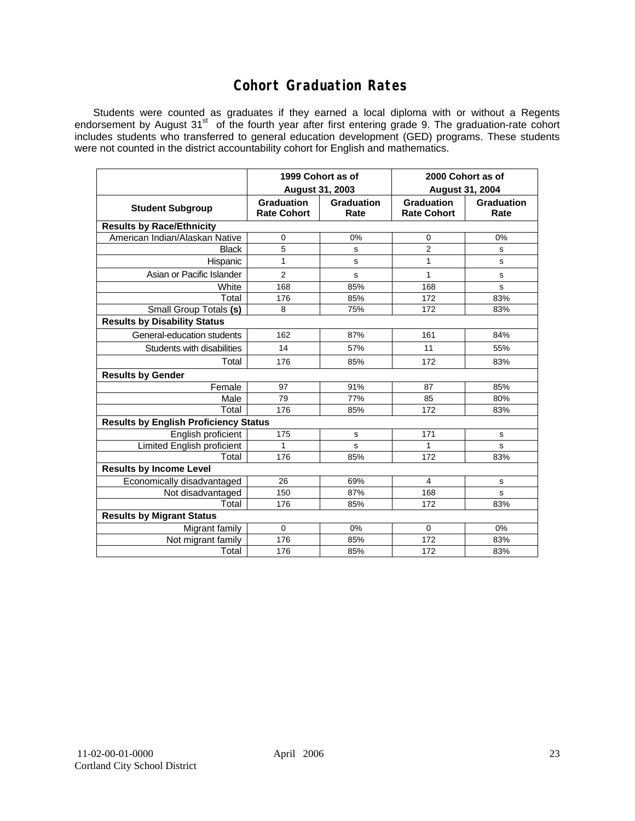## **Cohort Graduation Rates**

Students were counted as graduates if they earned a local diploma with or without a Regents endorsement by August 31<sup>st</sup> of the fourth year after first entering grade 9. The graduation-rate cohort includes students who transferred to general education development (GED) programs. These students were not counted in the district accountability cohort for English and mathematics.

|                                              | 1999 Cohort as of<br>August 31, 2003    |                    | 2000 Cohort as of<br><b>August 31, 2004</b> |                           |  |  |  |  |  |  |
|----------------------------------------------|-----------------------------------------|--------------------|---------------------------------------------|---------------------------|--|--|--|--|--|--|
| <b>Student Subgroup</b>                      | <b>Graduation</b><br><b>Rate Cohort</b> | Graduation<br>Rate | <b>Graduation</b><br><b>Rate Cohort</b>     | <b>Graduation</b><br>Rate |  |  |  |  |  |  |
| <b>Results by Race/Ethnicity</b>             |                                         |                    |                                             |                           |  |  |  |  |  |  |
| American Indian/Alaskan Native               | 0                                       | 0%                 | 0                                           | 0%                        |  |  |  |  |  |  |
| <b>Black</b>                                 | 5                                       | S                  | $\overline{2}$                              | s                         |  |  |  |  |  |  |
| Hispanic                                     | 1                                       | s                  | 1                                           | s                         |  |  |  |  |  |  |
| Asian or Pacific Islander                    | $\overline{2}$                          | s                  | 1                                           | s                         |  |  |  |  |  |  |
| White                                        | 168                                     | 85%                | 168                                         | s                         |  |  |  |  |  |  |
| Total                                        | 176                                     | 85%                | 172                                         | 83%                       |  |  |  |  |  |  |
| Small Group Totals (s)                       | 8                                       | 75%                | 172                                         | 83%                       |  |  |  |  |  |  |
| <b>Results by Disability Status</b>          |                                         |                    |                                             |                           |  |  |  |  |  |  |
| General-education students                   | 162                                     | 87%                | 161                                         | 84%                       |  |  |  |  |  |  |
| Students with disabilities                   | 14                                      | 57%                | 11                                          | 55%                       |  |  |  |  |  |  |
| Total                                        | 176                                     | 85%                | 172                                         | 83%                       |  |  |  |  |  |  |
| <b>Results by Gender</b>                     |                                         |                    |                                             |                           |  |  |  |  |  |  |
| Female                                       | 97                                      | 91%                | 87                                          | 85%                       |  |  |  |  |  |  |
| Male                                         | 79                                      | 77%                | 85                                          | 80%                       |  |  |  |  |  |  |
| Total                                        | 176                                     | 85%                | 172                                         | 83%                       |  |  |  |  |  |  |
| <b>Results by English Proficiency Status</b> |                                         |                    |                                             |                           |  |  |  |  |  |  |
| English proficient                           | 175                                     | s                  | 171                                         | s                         |  |  |  |  |  |  |
| Limited English proficient                   | 1                                       | s                  | 1                                           | s                         |  |  |  |  |  |  |
| Total                                        | 176                                     | 85%                | 172                                         | 83%                       |  |  |  |  |  |  |
| <b>Results by Income Level</b>               |                                         |                    |                                             |                           |  |  |  |  |  |  |
| Economically disadvantaged                   | 26                                      | 69%                | 4                                           | s                         |  |  |  |  |  |  |
| Not disadvantaged                            | 150                                     | 87%                | 168                                         | s                         |  |  |  |  |  |  |
| Total                                        | 176                                     | 85%                | 172                                         | 83%                       |  |  |  |  |  |  |
| <b>Results by Migrant Status</b>             |                                         |                    |                                             |                           |  |  |  |  |  |  |
| Migrant family                               | $\Omega$                                | 0%                 | $\mathbf 0$                                 | 0%                        |  |  |  |  |  |  |
| Not migrant family                           | 176                                     | 85%                | 172                                         | 83%                       |  |  |  |  |  |  |
| Total                                        | 176                                     | 85%                | 172                                         | 83%                       |  |  |  |  |  |  |